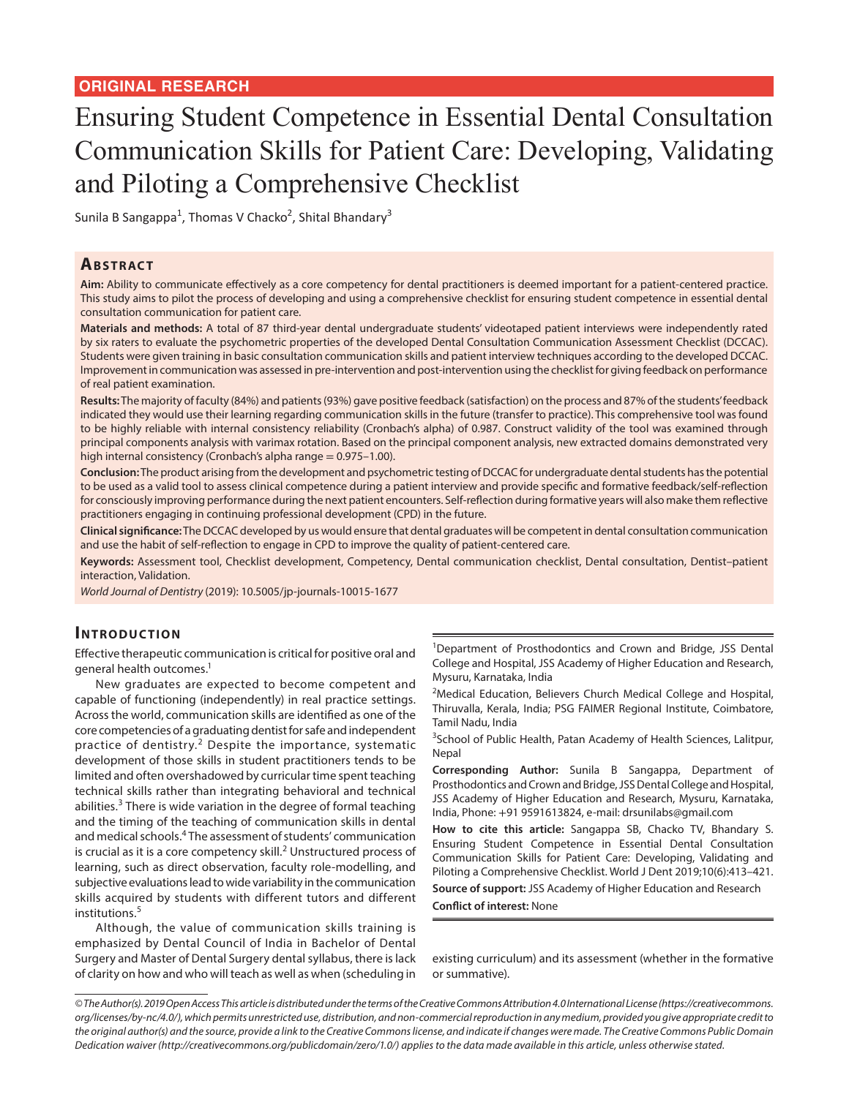# Ensuring Student Competence in Essential Dental Consultation Communication Skills for Patient Care: Developing, Validating and Piloting a Comprehensive Checklist

Sunila B Sangappa<sup>1</sup>, Thomas V Chacko<sup>2</sup>, Shital Bhandary<sup>3</sup>

### **ABSTRACT**

**Aim:** Ability to communicate effectively as a core competency for dental practitioners is deemed important for a patient-centered practice. This study aims to pilot the process of developing and using a comprehensive checklist for ensuring student competence in essential dental consultation communication for patient care.

**Materials and methods:** A total of 87 third-year dental undergraduate students' videotaped patient interviews were independently rated by six raters to evaluate the psychometric properties of the developed Dental Consultation Communication Assessment Checklist (DCCAC). Students were given training in basic consultation communication skills and patient interview techniques according to the developed DCCAC. Improvement in communication was assessed in pre-intervention and post-intervention using the checklist for giving feedback on performance of real patient examination.

**Results:** The majority of faculty (84%) and patients (93%) gave positive feedback (satisfaction) on the process and 87% of the students' feedback indicated they would use their learning regarding communication skills in the future (transfer to practice). This comprehensive tool was found to be highly reliable with internal consistency reliability (Cronbach's alpha) of 0.987. Construct validity of the tool was examined through principal components analysis with varimax rotation. Based on the principal component analysis, new extracted domains demonstrated very high internal consistency (Cronbach's alpha range = 0.975-1.00).

**Conclusion:** The product arising from the development and psychometric testing of DCCAC for undergraduate dental students has the potential to be used as a valid tool to assess clinical competence during a patient interview and provide specific and formative feedback/self-reflection for consciously improving performance during the next patient encounters. Self-reflection during formative years will also make them reflective practitioners engaging in continuing professional development (CPD) in the future.

**Clinical significance:** The DCCAC developed by us would ensure that dental graduates will be competent in dental consultation communication and use the habit of self-reflection to engage in CPD to improve the quality of patient-centered care.

**Keywords:** Assessment tool, Checklist development, Competency, Dental communication checklist, Dental consultation, Dentist–patient interaction, Validation.

*World Journal of Dentistry* (2019): 10.5005/jp-journals-10015-1677

#### **INTRODUCTION**

Effective therapeutic communication is critical for positive oral and general health outcomes.<sup>1</sup>

New graduates are expected to become competent and capable of functioning (independently) in real practice settings. Across the world, communication skills are identified as one of the core competencies of a graduating dentist for safe and independent practice of dentistry.<sup>2</sup> Despite the importance, systematic development of those skills in student practitioners tends to be limited and often overshadowed by curricular time spent teaching technical skills rather than integrating behavioral and technical abilities.<sup>3</sup> There is wide variation in the degree of formal teaching and the timing of the teaching of communication skills in dental and medical schools.<sup>4</sup> The assessment of students' communication is crucial as it is a core competency skill.<sup>2</sup> Unstructured process of learning, such as direct observation, faculty role-modelling, and subjective evaluations lead to wide variability in the communication skills acquired by students with different tutors and different institutions.<sup>5</sup>

Although, the value of communication skills training is emphasized by Dental Council of India in Bachelor of Dental Surgery and Master of Dental Surgery dental syllabus, there is lack of clarity on how and who will teach as well as when (scheduling in

<sup>1</sup>Department of Prosthodontics and Crown and Bridge, JSS Dental College and Hospital, JSS Academy of Higher Education and Research, Mysuru, Karnataka, India

<sup>2</sup>Medical Education, Believers Church Medical College and Hospital, Thiruvalla, Kerala, India; PSG FAIMER Regional Institute, Coimbatore, Tamil Nadu, India

<sup>3</sup>School of Public Health, Patan Academy of Health Sciences, Lalitpur, Nepal

**Corresponding Author:** Sunila B Sangappa, Department of Prosthodontics and Crown and Bridge, JSS Dental College and Hospital, JSS Academy of Higher Education and Research, Mysuru, Karnataka, India, Phone: +91 9591613824, e-mail: drsunilabs@gmail.com

**How to cite this article:** Sangappa SB, Chacko TV, Bhandary S. Ensuring Student Competence in Essential Dental Consultation Communication Skills for Patient Care: Developing, Validating and Piloting a Comprehensive Checklist. World J Dent 2019;10(6):413–421.

**Source of support:** JSS Academy of Higher Education and Research **Conflict of interest:** None

existing curriculum) and its assessment (whether in the formative or summative).

*<sup>©</sup> The Author(s). 2019 Open Access This article is distributed under the terms of the Creative Commons Attribution 4.0 International License (https://creativecommons. org/licenses/by-nc/4.0/), which permits unrestricted use, distribution, and non-commercial reproduction in any medium, provided you give appropriate credit to the original author(s) and the source, provide a link to the Creative Commons license, and indicate if changes were made. The Creative Commons Public Domain Dedication waiver (http://creativecommons.org/publicdomain/zero/1.0/) applies to the data made available in this article, unless otherwise stated.*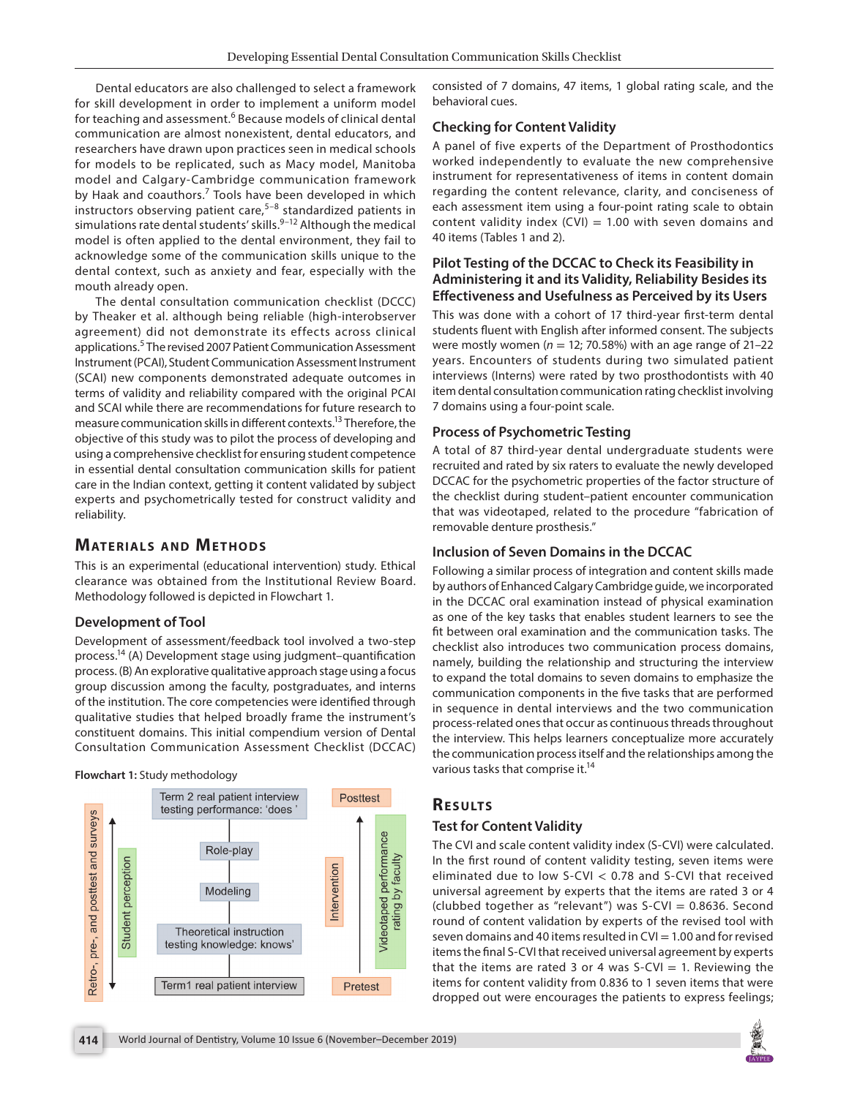Dental educators are also challenged to select a framework for skill development in order to implement a uniform model for teaching and assessment.<sup>6</sup> Because models of clinical dental communication are almost nonexistent, dental educators, and researchers have drawn upon practices seen in medical schools for models to be replicated, such as Macy model, Manitoba model and Calgary-Cambridge communication framework by Haak and coauthors.<sup>7</sup> Tools have been developed in which instructors observing patient care, $5-8$  standardized patients in simulations rate dental students' skills.<sup>9-12</sup> Although the medical model is often applied to the dental environment, they fail to acknowledge some of the communication skills unique to the dental context, such as anxiety and fear, especially with the mouth already open.

The dental consultation communication checklist (DCCC) by Theaker et al. although being reliable (high-interobserver agreement) did not demonstrate its effects across clinical applications.<sup>5</sup> The revised 2007 Patient Communication Assessment Instrument (PCAI), Student Communication Assessment Instrument (SCAI) new components demonstrated adequate outcomes in terms of validity and reliability compared with the original PCAI and SCAI while there are recommendations for future research to measure communication skills in different contexts.13 Therefore, the objective of this study was to pilot the process of developing and using a comprehensive checklist for ensuring student competence in essential dental consultation communication skills for patient care in the Indian context, getting it content validated by subject experts and psychometrically tested for construct validity and reliability.

### **MATERIALS AND METHODS**

This is an experimental (educational intervention) study. Ethical clearance was obtained from the Institutional Review Board. Methodology followed is depicted in Flowchart 1.

#### **Development of Tool**

Development of assessment/feedback tool involved a two-step process.14 (A) Development stage using judgment–quantification process. (B) An explorative qualitative approach stage using a focus group discussion among the faculty, postgraduates, and interns of the institution. The core competencies were identified through qualitative studies that helped broadly frame the instrument's constituent domains. This initial compendium version of Dental Consultation Communication Assessment Checklist (DCCAC)

#### **Flowchart 1:** Study methodology



consisted of 7 domains, 47 items, 1 global rating scale, and the behavioral cues.

#### **Checking for Content Validity**

A panel of five experts of the Department of Prosthodontics worked independently to evaluate the new comprehensive instrument for representativeness of items in content domain regarding the content relevance, clarity, and conciseness of each assessment item using a four-point rating scale to obtain content validity index  $(CVI) = 1.00$  with seven domains and 40 items (Tables 1 and 2).

### **Pilot Testing of the DCCAC to Check its Feasibility in Administering it and its Validity, Reliability Besides its Effectiveness and Usefulness as Perceived by its Users**

This was done with a cohort of 17 third-year first-term dental students fluent with English after informed consent. The subjects were mostly women ( $n = 12$ ; 70.58%) with an age range of 21-22 years. Encounters of students during two simulated patient interviews (Interns) were rated by two prosthodontists with 40 item dental consultation communication rating checklist involving 7 domains using a four-point scale.

#### **Process of Psychometric Testing**

A total of 87 third-year dental undergraduate students were recruited and rated by six raters to evaluate the newly developed DCCAC for the psychometric properties of the factor structure of the checklist during student–patient encounter communication that was videotaped, related to the procedure "fabrication of removable denture prosthesis."

#### **Inclusion of Seven Domains in the DCCAC**

Following a similar process of integration and content skills made by authors of Enhanced Calgary Cambridge guide, we incorporated in the DCCAC oral examination instead of physical examination as one of the key tasks that enables student learners to see the fit between oral examination and the communication tasks. The checklist also introduces two communication process domains, namely, building the relationship and structuring the interview to expand the total domains to seven domains to emphasize the communication components in the five tasks that are performed in sequence in dental interviews and the two communication process-related ones that occur as continuous threads throughout the interview. This helps learners conceptualize more accurately the communication process itself and the relationships among the various tasks that comprise it.<sup>14</sup>

# **RESULTS**

#### **Test for Content Validity**

The CVI and scale content validity index (S-CVI) were calculated. In the first round of content validity testing, seven items were eliminated due to low S-CVI < 0.78 and S-CVI that received universal agreement by experts that the items are rated 3 or 4 (clubbed together as "relevant") was  $S-CVI = 0.8636$ . Second round of content validation by experts of the revised tool with seven domains and 40 items resulted in  $CV = 1.00$  and for revised items the final S-CVI that received universal agreement by experts that the items are rated 3 or 4 was  $S-CVI = 1$ . Reviewing the items for content validity from 0.836 to 1 seven items that were dropped out were encourages the patients to express feelings;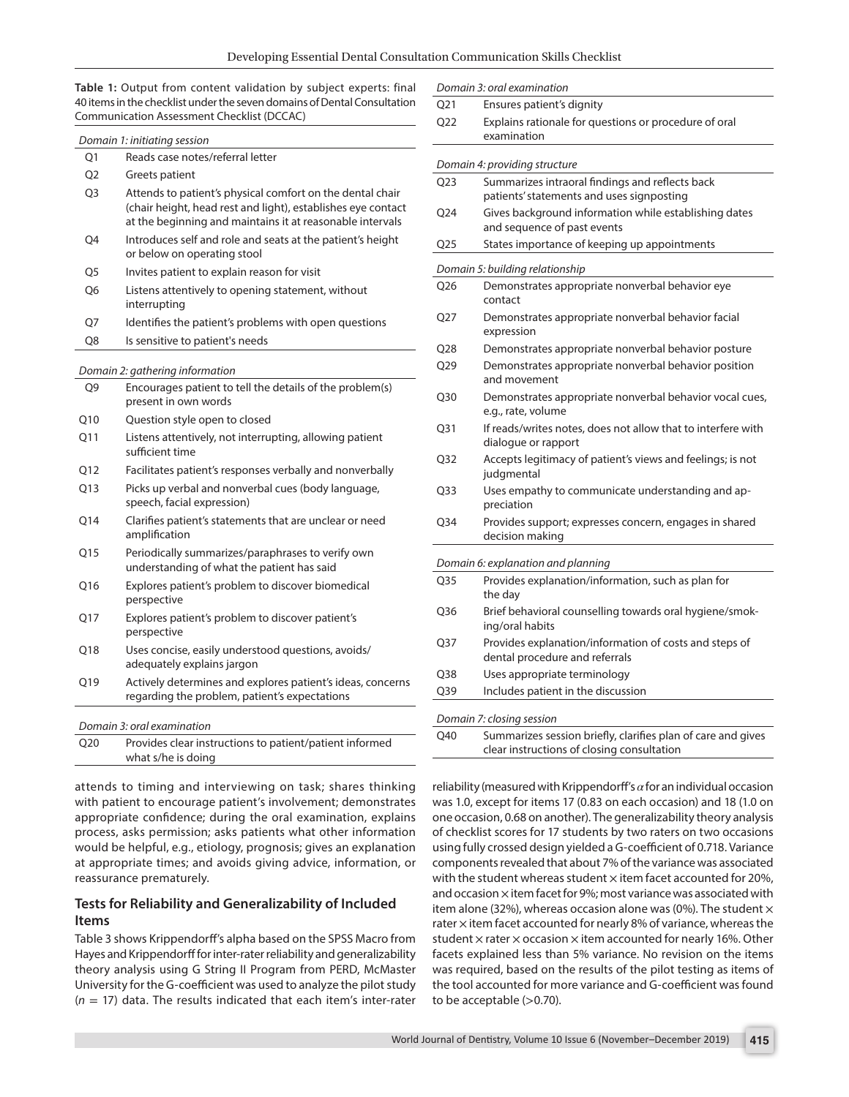**Table 1:** Output from content validation by subject experts: final 40 items in the checklist under the seven domains of Dental Consultation Communication Assessment Checklist (DCCAC)

|                 | Domain 1: initiating session                                                                                                                                                           |
|-----------------|----------------------------------------------------------------------------------------------------------------------------------------------------------------------------------------|
| Ο1              | Reads case notes/referral letter                                                                                                                                                       |
| O <sub>2</sub>  | Greets patient                                                                                                                                                                         |
| O <sub>3</sub>  | Attends to patient's physical comfort on the dental chair<br>(chair height, head rest and light), establishes eye contact<br>at the beginning and maintains it at reasonable intervals |
| Q4              | Introduces self and role and seats at the patient's height<br>or below on operating stool                                                                                              |
| Q5              | Invites patient to explain reason for visit                                                                                                                                            |
| Q6              | Listens attentively to opening statement, without<br>interrupting                                                                                                                      |
| Q7              | Identifies the patient's problems with open questions                                                                                                                                  |
| Q8              | Is sensitive to patient's needs                                                                                                                                                        |
|                 | Domain 2: gathering information                                                                                                                                                        |
| Q9              | Encourages patient to tell the details of the problem(s)<br>present in own words                                                                                                       |
| Q10             | Question style open to closed                                                                                                                                                          |
| Q11             | Listens attentively, not interrupting, allowing patient<br>sufficient time                                                                                                             |
| Q12             | Facilitates patient's responses verbally and nonverbally                                                                                                                               |
| O <sub>13</sub> | Picks up verbal and nonverbal cues (body language,<br>speech, facial expression)                                                                                                       |
| Q14             | Clarifies patient's statements that are unclear or need<br>amplification                                                                                                               |
| Q15             | Periodically summarizes/paraphrases to verify own<br>understanding of what the patient has said                                                                                        |
| O <sub>16</sub> | Explores patient's problem to discover biomedical<br>perspective                                                                                                                       |
| Q17             | Explores patient's problem to discover patient's<br>perspective                                                                                                                        |
| Q18             | Uses concise, easily understood questions, avoids/<br>adequately explains jargon                                                                                                       |
| Q19             | Actively determines and explores patient's ideas, concerns<br>regarding the problem, patient's expectations                                                                            |
|                 | Domain 3: oral examination                                                                                                                                                             |
| Q <sub>20</sub> | Provides clear instructions to patient/patient informed<br>what s/he is doing                                                                                                          |
|                 |                                                                                                                                                                                        |

attends to timing and interviewing on task; shares thinking with patient to encourage patient's involvement; demonstrates appropriate confidence; during the oral examination, explains process, asks permission; asks patients what other information would be helpful, e.g., etiology, prognosis; gives an explanation at appropriate times; and avoids giving advice, information, or reassurance prematurely.

#### **Tests for Reliability and Generalizability of Included Items**

Table 3 shows Krippendorff's alpha based on the SPSS Macro from Hayes and Krippendorff for inter-rater reliability and generalizability theory analysis using G String II Program from PERD, McMaster University for the G-coefficient was used to analyze the pilot study (*n* = 17) data. The results indicated that each item's inter-rater

|                  | Domain 3: oral examination                                                                                 |
|------------------|------------------------------------------------------------------------------------------------------------|
| Q21              | Ensures patient's dignity                                                                                  |
| Q22              | Explains rationale for questions or procedure of oral<br>examination                                       |
|                  | Domain 4: providing structure                                                                              |
| O <sub>2</sub> 3 | Summarizes intraoral findings and reflects back<br>patients' statements and uses signposting               |
| O <sub>24</sub>  | Gives background information while establishing dates<br>and sequence of past events                       |
| O <sub>25</sub>  | States importance of keeping up appointments                                                               |
|                  | Domain 5: building relationship                                                                            |
| Q26              | Demonstrates appropriate nonverbal behavior eye<br>contact                                                 |
| O27              | Demonstrates appropriate nonverbal behavior facial<br>expression                                           |
| Q28              | Demonstrates appropriate nonverbal behavior posture                                                        |
| Q29              | Demonstrates appropriate nonverbal behavior position<br>and movement                                       |
| Q30              | Demonstrates appropriate nonverbal behavior vocal cues,<br>e.g., rate, volume                              |
| Q <sub>31</sub>  | If reads/writes notes, does not allow that to interfere with<br>dialogue or rapport                        |
| Q32              | Accepts legitimacy of patient's views and feelings; is not<br>judgmental                                   |
| Q33              | Uses empathy to communicate understanding and ap-<br>preciation                                            |
| Q34              | Provides support; expresses concern, engages in shared<br>decision making                                  |
|                  | Domain 6: explanation and planning                                                                         |
| Q35              | Provides explanation/information, such as plan for<br>the day                                              |
| Q36              | Brief behavioral counselling towards oral hygiene/smok-<br>ing/oral habits                                 |
| Q37              | Provides explanation/information of costs and steps of<br>dental procedure and referrals                   |
| Q38              | Uses appropriate terminology                                                                               |
| Q39              | Includes patient in the discussion                                                                         |
|                  | Domain 7: closing session                                                                                  |
| O40              | Summarizes session briefly, clarifies plan of care and gives<br>clear instructions of closing consultation |

reliability (measured with Krippendorff's *α* for an individual occasion was 1.0, except for items 17 (0.83 on each occasion) and 18 (1.0 on one occasion, 0.68 on another). The generalizability theory analysis of checklist scores for 17 students by two raters on two occasions using fully crossed design yielded a G-coefficient of 0.718. Variance components revealed that about 7% of the variance was associated with the student whereas student  $\times$  item facet accounted for 20%, and occasion  $\times$  item facet for 9%; most variance was associated with item alone (32%), whereas occasion alone was (0%). The student  $\times$ rater  $\times$  item facet accounted for nearly 8% of variance, whereas the student  $\times$  rater  $\times$  occasion  $\times$  item accounted for nearly 16%. Other facets explained less than 5% variance. No revision on the items was required, based on the results of the pilot testing as items of the tool accounted for more variance and G-coefficient was found to be acceptable  $(>0.70)$ .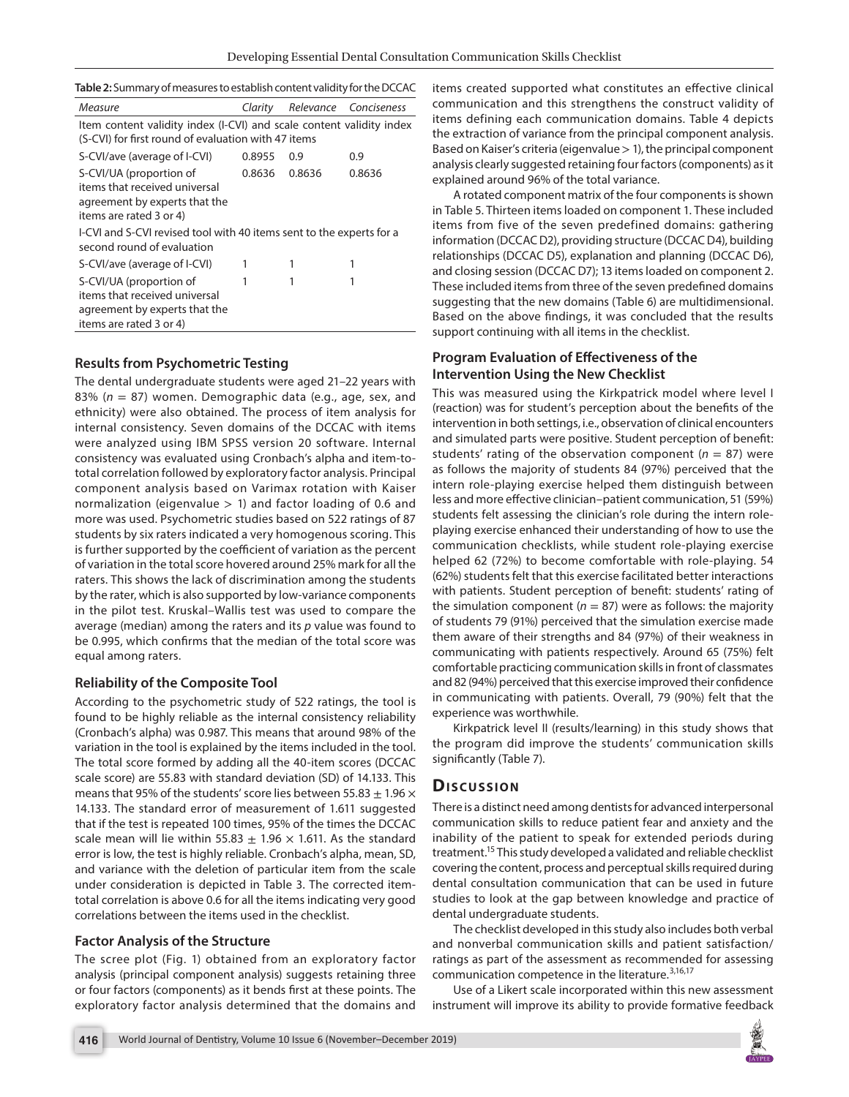| Measure                                                              | Clarity |        | Relevance Conciseness |  |  |  |  |
|----------------------------------------------------------------------|---------|--------|-----------------------|--|--|--|--|
| Item content validity index (I-CVI) and scale content validity index |         |        |                       |  |  |  |  |
| (S-CVI) for first round of evaluation with 47 items                  |         |        |                       |  |  |  |  |
| S-CVI/ave (average of I-CVI)                                         | 0.8955  | 0.9    | 0.9                   |  |  |  |  |
| S-CVI/UA (proportion of                                              | 0.8636  | 0.8636 | 0.8636                |  |  |  |  |
| items that received universal                                        |         |        |                       |  |  |  |  |
| agreement by experts that the                                        |         |        |                       |  |  |  |  |
| items are rated 3 or 4)                                              |         |        |                       |  |  |  |  |
| I-CVI and S-CVI revised tool with 40 items sent to the experts for a |         |        |                       |  |  |  |  |
| second round of evaluation                                           |         |        |                       |  |  |  |  |
| S-CVI/ave (average of I-CVI)                                         |         |        |                       |  |  |  |  |
| S-CVI/UA (proportion of                                              |         |        |                       |  |  |  |  |
| items that received universal                                        |         |        |                       |  |  |  |  |
| agreement by experts that the                                        |         |        |                       |  |  |  |  |
| items are rated 3 or 4)                                              |         |        |                       |  |  |  |  |

#### **Results from Psychometric Testing**

The dental undergraduate students were aged 21–22 years with 83% (*n* = 87) women. Demographic data (e.g., age, sex, and ethnicity) were also obtained. The process of item analysis for internal consistency. Seven domains of the DCCAC with items were analyzed using IBM SPSS version 20 software. Internal consistency was evaluated using Cronbach's alpha and item-tototal correlation followed by exploratory factor analysis. Principal component analysis based on Varimax rotation with Kaiser normalization (eigenvalue  $> 1$ ) and factor loading of 0.6 and more was used. Psychometric studies based on 522 ratings of 87 students by six raters indicated a very homogenous scoring. This is further supported by the coefficient of variation as the percent of variation in the total score hovered around 25% mark for all the raters. This shows the lack of discrimination among the students by the rater, which is also supported by low-variance components in the pilot test. Kruskal–Wallis test was used to compare the average (median) among the raters and its *p* value was found to be 0.995, which confirms that the median of the total score was equal among raters.

#### **Reliability of the Composite Tool**

According to the psychometric study of 522 ratings, the tool is found to be highly reliable as the internal consistency reliability (Cronbach's alpha) was 0.987. This means that around 98% of the variation in the tool is explained by the items included in the tool. The total score formed by adding all the 40-item scores (DCCAC scale score) are 55.83 with standard deviation (SD) of 14.133. This means that 95% of the students' score lies between 55.83  $\pm$  1.96  $\times$ 14.133. The standard error of measurement of 1.611 suggested that if the test is repeated 100 times, 95% of the times the DCCAC scale mean will lie within 55.83  $\pm$  1.96  $\times$  1.611. As the standard error is low, the test is highly reliable. Cronbach's alpha, mean, SD, and variance with the deletion of particular item from the scale under consideration is depicted in Table 3. The corrected itemtotal correlation is above 0.6 for all the items indicating very good correlations between the items used in the checklist.

#### **Factor Analysis of the Structure**

The scree plot (Fig. 1) obtained from an exploratory factor analysis (principal component analysis) suggests retaining three or four factors (components) as it bends first at these points. The exploratory factor analysis determined that the domains and

items created supported what constitutes an effective clinical communication and this strengthens the construct validity of items defining each communication domains. Table 4 depicts the extraction of variance from the principal component analysis. Based on Kaiser's criteria (eigenvalue > 1), the principal component analysis clearly suggested retaining four factors (components) as it explained around 96% of the total variance.

A rotated component matrix of the four components is shown in Table 5. Thirteen items loaded on component 1. These included items from five of the seven predefined domains: gathering information (DCCAC D2), providing structure (DCCAC D4), building relationships (DCCAC D5), explanation and planning (DCCAC D6), and closing session (DCCAC D7); 13 items loaded on component 2. These included items from three of the seven predefined domains suggesting that the new domains (Table 6) are multidimensional. Based on the above findings, it was concluded that the results support continuing with all items in the checklist.

## **Program Evaluation of Effectiveness of the Intervention Using the New Checklist**

This was measured using the Kirkpatrick model where level I (reaction) was for student's perception about the benefits of the intervention in both settings, i.e., observation of clinical encounters and simulated parts were positive. Student perception of benefit: students' rating of the observation component ( $n = 87$ ) were as follows the majority of students 84 (97%) perceived that the intern role-playing exercise helped them distinguish between less and more effective clinician–patient communication, 51 (59%) students felt assessing the clinician's role during the intern roleplaying exercise enhanced their understanding of how to use the communication checklists, while student role-playing exercise helped 62 (72%) to become comfortable with role-playing. 54 (62%) students felt that this exercise facilitated better interactions with patients. Student perception of benefit: students' rating of the simulation component ( $n = 87$ ) were as follows: the majority of students 79 (91%) perceived that the simulation exercise made them aware of their strengths and 84 (97%) of their weakness in communicating with patients respectively. Around 65 (75%) felt comfortable practicing communication skills in front of classmates and 82 (94%) perceived that this exercise improved their confidence in communicating with patients. Overall, 79 (90%) felt that the experience was worthwhile.

Kirkpatrick level II (results/learning) in this study shows that the program did improve the students' communication skills significantly (Table 7).

# **Dis c u s sio n**

There is a distinct need among dentists for advanced interpersonal communication skills to reduce patient fear and anxiety and the inability of the patient to speak for extended periods during treatment.<sup>15</sup> This study developed a validated and reliable checklist covering the content, process and perceptual skills required during dental consultation communication that can be used in future studies to look at the gap between knowledge and practice of dental undergraduate students.

The checklist developed in this study also includes both verbal and nonverbal communication skills and patient satisfaction/ ratings as part of the assessment as recommended for assessing communication competence in the literature.<sup>3,16,17</sup>

Use of a Likert scale incorporated within this new assessment instrument will improve its ability to provide formative feedback

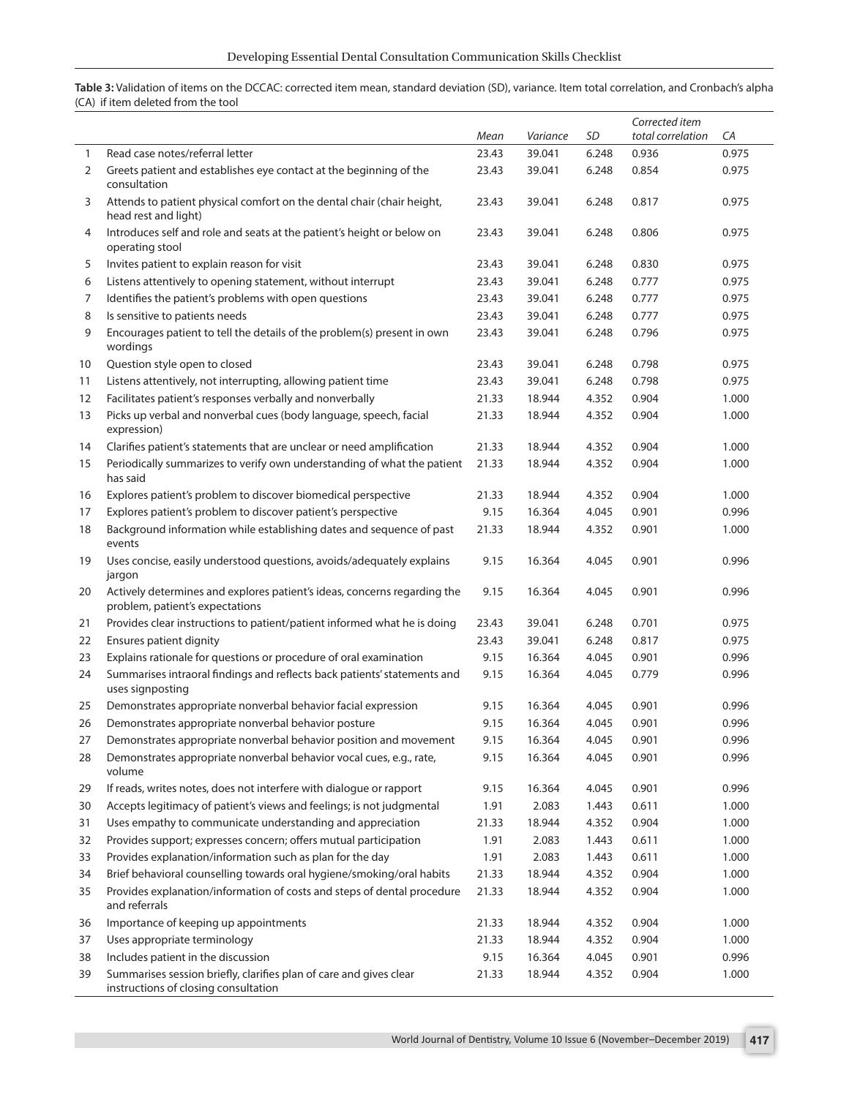**Table 3:** Validation of items on the DCCAC: corrected item mean, standard deviation (SD), variance. Item total correlation, and Cronbach's alpha (CA) if item deleted from the tool

|              |                                                                                                             |       |          |       | Corrected item    |       |
|--------------|-------------------------------------------------------------------------------------------------------------|-------|----------|-------|-------------------|-------|
|              |                                                                                                             | Mean  | Variance | SD    | total correlation | CA    |
| $\mathbf{1}$ | Read case notes/referral letter                                                                             | 23.43 | 39.041   | 6.248 | 0.936             | 0.975 |
| 2            | Greets patient and establishes eye contact at the beginning of the<br>consultation                          | 23.43 | 39.041   | 6.248 | 0.854             | 0.975 |
| 3            | Attends to patient physical comfort on the dental chair (chair height,<br>head rest and light)              | 23.43 | 39.041   | 6.248 | 0.817             | 0.975 |
| 4            | Introduces self and role and seats at the patient's height or below on<br>operating stool                   | 23.43 | 39.041   | 6.248 | 0.806             | 0.975 |
| 5            | Invites patient to explain reason for visit                                                                 | 23.43 | 39.041   | 6.248 | 0.830             | 0.975 |
| 6            | Listens attentively to opening statement, without interrupt                                                 | 23.43 | 39.041   | 6.248 | 0.777             | 0.975 |
| 7            | Identifies the patient's problems with open questions                                                       | 23.43 | 39.041   | 6.248 | 0.777             | 0.975 |
| 8            | Is sensitive to patients needs                                                                              | 23.43 | 39.041   | 6.248 | 0.777             | 0.975 |
| 9            | Encourages patient to tell the details of the problem(s) present in own<br>wordings                         | 23.43 | 39.041   | 6.248 | 0.796             | 0.975 |
| 10           | Question style open to closed                                                                               | 23.43 | 39.041   | 6.248 | 0.798             | 0.975 |
| 11           | Listens attentively, not interrupting, allowing patient time                                                | 23.43 | 39.041   | 6.248 | 0.798             | 0.975 |
| 12           | Facilitates patient's responses verbally and nonverbally                                                    | 21.33 | 18.944   | 4.352 | 0.904             | 1.000 |
| 13           | Picks up verbal and nonverbal cues (body language, speech, facial<br>expression)                            | 21.33 | 18.944   | 4.352 | 0.904             | 1.000 |
| 14           | Clarifies patient's statements that are unclear or need amplification                                       | 21.33 | 18.944   | 4.352 | 0.904             | 1.000 |
| 15           | Periodically summarizes to verify own understanding of what the patient<br>has said                         | 21.33 | 18.944   | 4.352 | 0.904             | 1.000 |
| 16           | Explores patient's problem to discover biomedical perspective                                               | 21.33 | 18.944   | 4.352 | 0.904             | 1.000 |
| 17           | Explores patient's problem to discover patient's perspective                                                | 9.15  | 16.364   | 4.045 | 0.901             | 0.996 |
| 18           | Background information while establishing dates and sequence of past<br>events                              | 21.33 | 18.944   | 4.352 | 0.901             | 1.000 |
| 19           | Uses concise, easily understood questions, avoids/adequately explains<br>jargon                             | 9.15  | 16.364   | 4.045 | 0.901             | 0.996 |
| 20           | Actively determines and explores patient's ideas, concerns regarding the<br>problem, patient's expectations | 9.15  | 16.364   | 4.045 | 0.901             | 0.996 |
| 21           | Provides clear instructions to patient/patient informed what he is doing                                    | 23.43 | 39.041   | 6.248 | 0.701             | 0.975 |
| 22           | Ensures patient dignity                                                                                     | 23.43 | 39.041   | 6.248 | 0.817             | 0.975 |
| 23           | Explains rationale for questions or procedure of oral examination                                           | 9.15  | 16.364   | 4.045 | 0.901             | 0.996 |
| 24           | Summarises intraoral findings and reflects back patients' statements and<br>uses signposting                | 9.15  | 16.364   | 4.045 | 0.779             | 0.996 |
| 25           | Demonstrates appropriate nonverbal behavior facial expression                                               | 9.15  | 16.364   | 4.045 | 0.901             | 0.996 |
| 26           | Demonstrates appropriate nonverbal behavior posture                                                         | 9.15  | 16.364   | 4.045 | 0.901             | 0.996 |
| 27           | Demonstrates appropriate nonverbal behavior position and movement                                           | 9.15  | 16.364   | 4.045 | 0.901             | 0.996 |
| 28           | Demonstrates appropriate nonverbal behavior vocal cues, e.g., rate,<br>volume                               | 9.15  | 16.364   | 4.045 | 0.901             | 0.996 |
| 29           | If reads, writes notes, does not interfere with dialogue or rapport                                         | 9.15  | 16.364   | 4.045 | 0.901             | 0.996 |
| 30           | Accepts legitimacy of patient's views and feelings; is not judgmental                                       | 1.91  | 2.083    | 1.443 | 0.611             | 1.000 |
| 31           | Uses empathy to communicate understanding and appreciation                                                  | 21.33 | 18.944   | 4.352 | 0.904             | 1.000 |
| 32           | Provides support; expresses concern; offers mutual participation                                            | 1.91  | 2.083    | 1.443 | 0.611             | 1.000 |
| 33           | Provides explanation/information such as plan for the day                                                   | 1.91  | 2.083    | 1.443 | 0.611             | 1.000 |
| 34           | Brief behavioral counselling towards oral hygiene/smoking/oral habits                                       | 21.33 | 18.944   | 4.352 | 0.904             | 1.000 |
| 35           | Provides explanation/information of costs and steps of dental procedure<br>and referrals                    | 21.33 | 18.944   | 4.352 | 0.904             | 1.000 |
| 36           | Importance of keeping up appointments                                                                       | 21.33 | 18.944   | 4.352 | 0.904             | 1.000 |
| 37           | Uses appropriate terminology                                                                                | 21.33 | 18.944   | 4.352 | 0.904             | 1.000 |
| 38           | Includes patient in the discussion                                                                          | 9.15  | 16.364   | 4.045 | 0.901             | 0.996 |
| 39           | Summarises session briefly, clarifies plan of care and gives clear<br>instructions of closing consultation  | 21.33 | 18.944   | 4.352 | 0.904             | 1.000 |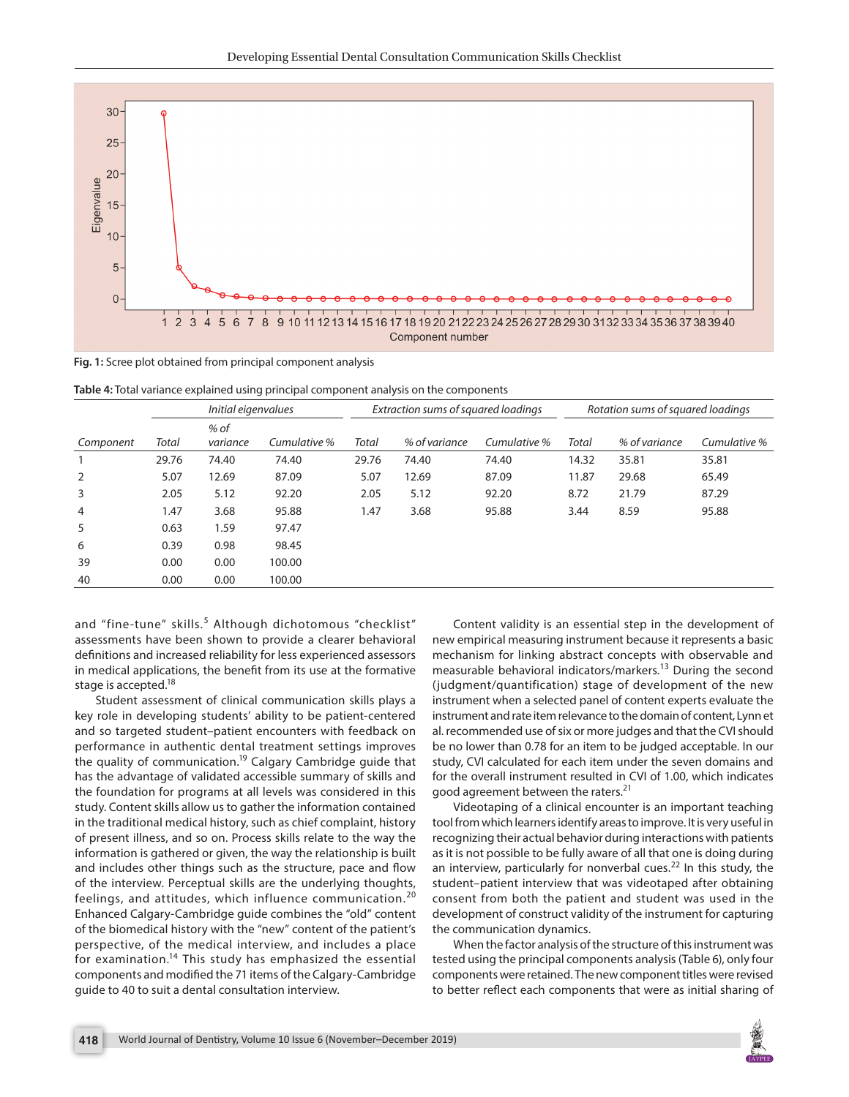

**Fig. 1:** Scree plot obtained from principal component analysis

**Table 4:** Total variance explained using principal component analysis on the components

| Initial eigenvalues |       | Extraction sums of squared loadings |              |       | Rotation sums of squared loadings |              |       |               |              |
|---------------------|-------|-------------------------------------|--------------|-------|-----------------------------------|--------------|-------|---------------|--------------|
| Component           | Total | $%$ of<br>variance                  | Cumulative % | Total | % of variance                     | Cumulative % | Total | % of variance | Cumulative % |
|                     | 29.76 | 74.40                               | 74.40        | 29.76 | 74.40                             | 74.40        | 14.32 | 35.81         | 35.81        |
| 2                   | 5.07  | 12.69                               | 87.09        | 5.07  | 12.69                             | 87.09        | 11.87 | 29.68         | 65.49        |
| 3                   | 2.05  | 5.12                                | 92.20        | 2.05  | 5.12                              | 92.20        | 8.72  | 21.79         | 87.29        |
| $\overline{4}$      | l.47  | 3.68                                | 95.88        | 1.47  | 3.68                              | 95.88        | 3.44  | 8.59          | 95.88        |
| 5                   | 0.63  | 1.59                                | 97.47        |       |                                   |              |       |               |              |
| 6                   | 0.39  | 0.98                                | 98.45        |       |                                   |              |       |               |              |
| 39                  | 0.00  | 0.00                                | 100.00       |       |                                   |              |       |               |              |
| 40                  | 0.00  | 0.00                                | 100.00       |       |                                   |              |       |               |              |

and "fine-tune" skills.<sup>5</sup> Although dichotomous "checklist" assessments have been shown to provide a clearer behavioral definitions and increased reliability for less experienced assessors in medical applications, the benefit from its use at the formative stage is accepted.<sup>18</sup>

Student assessment of clinical communication skills plays a key role in developing students' ability to be patient-centered and so targeted student–patient encounters with feedback on performance in authentic dental treatment settings improves the quality of communication.<sup>19</sup> Calgary Cambridge guide that has the advantage of validated accessible summary of skills and the foundation for programs at all levels was considered in this study. Content skills allow us to gather the information contained in the traditional medical history, such as chief complaint, history of present illness, and so on. Process skills relate to the way the information is gathered or given, the way the relationship is built and includes other things such as the structure, pace and flow of the interview. Perceptual skills are the underlying thoughts, feelings, and attitudes, which influence communication.<sup>20</sup> Enhanced Calgary-Cambridge guide combines the "old" content of the biomedical history with the "new" content of the patient's perspective, of the medical interview, and includes a place for examination.14 This study has emphasized the essential components and modified the 71 items of the Calgary-Cambridge guide to 40 to suit a dental consultation interview.

Content validity is an essential step in the development of new empirical measuring instrument because it represents a basic mechanism for linking abstract concepts with observable and measurable behavioral indicators/markers.13 During the second (judgment/quantification) stage of development of the new instrument when a selected panel of content experts evaluate the instrument and rate item relevance to the domain of content, Lynn et al. recommended use of six or more judges and that the CVI should be no lower than 0.78 for an item to be judged acceptable. In our study, CVI calculated for each item under the seven domains and for the overall instrument resulted in CVI of 1.00, which indicates good agreement between the raters.<sup>21</sup>

Videotaping of a clinical encounter is an important teaching tool from which learners identify areas to improve. It is very useful in recognizing their actual behavior during interactions with patients as it is not possible to be fully aware of all that one is doing during an interview, particularly for nonverbal cues.<sup>22</sup> In this study, the student–patient interview that was videotaped after obtaining consent from both the patient and student was used in the development of construct validity of the instrument for capturing the communication dynamics.

When the factor analysis of the structure of this instrument was tested using the principal components analysis (Table 6), only four components were retained. The new component titles were revised to better reflect each components that were as initial sharing of

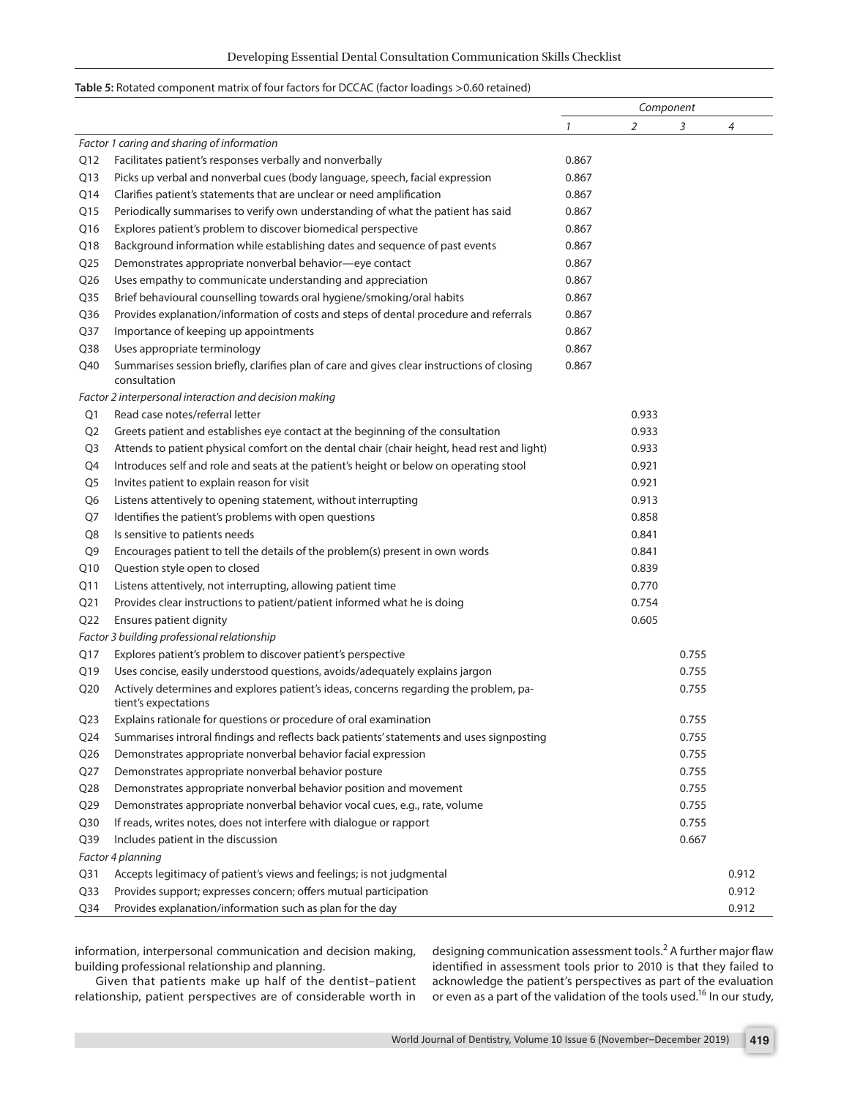#### **Table 5:** Rotated component matrix of four factors for DCCAC (factor loadings >0.60 retained)

|                 |                                                                                                               | Component |       |       |                |
|-----------------|---------------------------------------------------------------------------------------------------------------|-----------|-------|-------|----------------|
|                 |                                                                                                               | 1         | 2     | 3     | $\overline{4}$ |
|                 | Factor 1 caring and sharing of information                                                                    |           |       |       |                |
| Q12             | Facilitates patient's responses verbally and nonverbally                                                      | 0.867     |       |       |                |
| Q13             | Picks up verbal and nonverbal cues (body language, speech, facial expression                                  | 0.867     |       |       |                |
| Q14             | Clarifies patient's statements that are unclear or need amplification                                         | 0.867     |       |       |                |
| Q15             | Periodically summarises to verify own understanding of what the patient has said                              | 0.867     |       |       |                |
| Q16             | Explores patient's problem to discover biomedical perspective                                                 | 0.867     |       |       |                |
| Q18             | Background information while establishing dates and sequence of past events                                   | 0.867     |       |       |                |
| Q <sub>25</sub> | Demonstrates appropriate nonverbal behavior-eye contact                                                       | 0.867     |       |       |                |
| Q26             | Uses empathy to communicate understanding and appreciation                                                    | 0.867     |       |       |                |
| Q <sub>35</sub> | Brief behavioural counselling towards oral hygiene/smoking/oral habits                                        | 0.867     |       |       |                |
| Q36             | Provides explanation/information of costs and steps of dental procedure and referrals                         | 0.867     |       |       |                |
| Q37             | Importance of keeping up appointments                                                                         | 0.867     |       |       |                |
| Q38             | Uses appropriate terminology                                                                                  | 0.867     |       |       |                |
| Q40             | Summarises session briefly, clarifies plan of care and gives clear instructions of closing<br>consultation    | 0.867     |       |       |                |
|                 | Factor 2 interpersonal interaction and decision making                                                        |           |       |       |                |
| Q1              | Read case notes/referral letter                                                                               |           | 0.933 |       |                |
| Q <sub>2</sub>  | Greets patient and establishes eye contact at the beginning of the consultation                               |           | 0.933 |       |                |
| Q <sub>3</sub>  | Attends to patient physical comfort on the dental chair (chair height, head rest and light)                   |           | 0.933 |       |                |
| Q4              | Introduces self and role and seats at the patient's height or below on operating stool                        |           | 0.921 |       |                |
| Q5              | Invites patient to explain reason for visit                                                                   |           | 0.921 |       |                |
| Q6              | Listens attentively to opening statement, without interrupting                                                |           | 0.913 |       |                |
| Q7              | Identifies the patient's problems with open questions                                                         |           | 0.858 |       |                |
| Q8              | Is sensitive to patients needs                                                                                |           | 0.841 |       |                |
| Q9              | Encourages patient to tell the details of the problem(s) present in own words                                 |           | 0.841 |       |                |
| Q10             | Question style open to closed                                                                                 |           | 0.839 |       |                |
| Q11             | Listens attentively, not interrupting, allowing patient time                                                  |           | 0.770 |       |                |
| Q21             | Provides clear instructions to patient/patient informed what he is doing                                      |           | 0.754 |       |                |
| Q <sub>22</sub> | Ensures patient dignity                                                                                       |           | 0.605 |       |                |
|                 | Factor 3 building professional relationship                                                                   |           |       |       |                |
| Q17             | Explores patient's problem to discover patient's perspective                                                  |           |       | 0.755 |                |
| Q19             | Uses concise, easily understood questions, avoids/adequately explains jargon                                  |           |       | 0.755 |                |
| Q20             | Actively determines and explores patient's ideas, concerns regarding the problem, pa-<br>tient's expectations |           |       | 0.755 |                |
| Q <sub>23</sub> | Explains rationale for questions or procedure of oral examination                                             |           |       | 0.755 |                |
| Q <sub>24</sub> | Summarises introral findings and reflects back patients' statements and uses signposting                      |           |       | 0.755 |                |
| Q26             | Demonstrates appropriate nonverbal behavior facial expression                                                 |           |       | 0.755 |                |
| Q27             | Demonstrates appropriate nonverbal behavior posture                                                           |           |       | 0.755 |                |
| Q <sub>28</sub> | Demonstrates appropriate nonverbal behavior position and movement                                             |           |       | 0.755 |                |
| Q29             | Demonstrates appropriate nonverbal behavior vocal cues, e.g., rate, volume                                    |           |       | 0.755 |                |
| Q <sub>30</sub> | If reads, writes notes, does not interfere with dialogue or rapport                                           |           |       | 0.755 |                |
| Q <sub>39</sub> | Includes patient in the discussion                                                                            |           |       | 0.667 |                |
|                 | Factor 4 planning                                                                                             |           |       |       |                |
| Q <sub>31</sub> | Accepts legitimacy of patient's views and feelings; is not judgmental                                         |           |       |       | 0.912          |
| Q <sub>33</sub> | Provides support; expresses concern; offers mutual participation                                              |           |       |       | 0.912          |
| Q34             | Provides explanation/information such as plan for the day                                                     |           |       |       | 0.912          |

information, interpersonal communication and decision making, building professional relationship and planning.

Given that patients make up half of the dentist–patient relationship, patient perspectives are of considerable worth in

designing communication assessment tools.<sup>2</sup> A further major flaw identified in assessment tools prior to 2010 is that they failed to acknowledge the patient's perspectives as part of the evaluation or even as a part of the validation of the tools used.<sup>16</sup> In our study,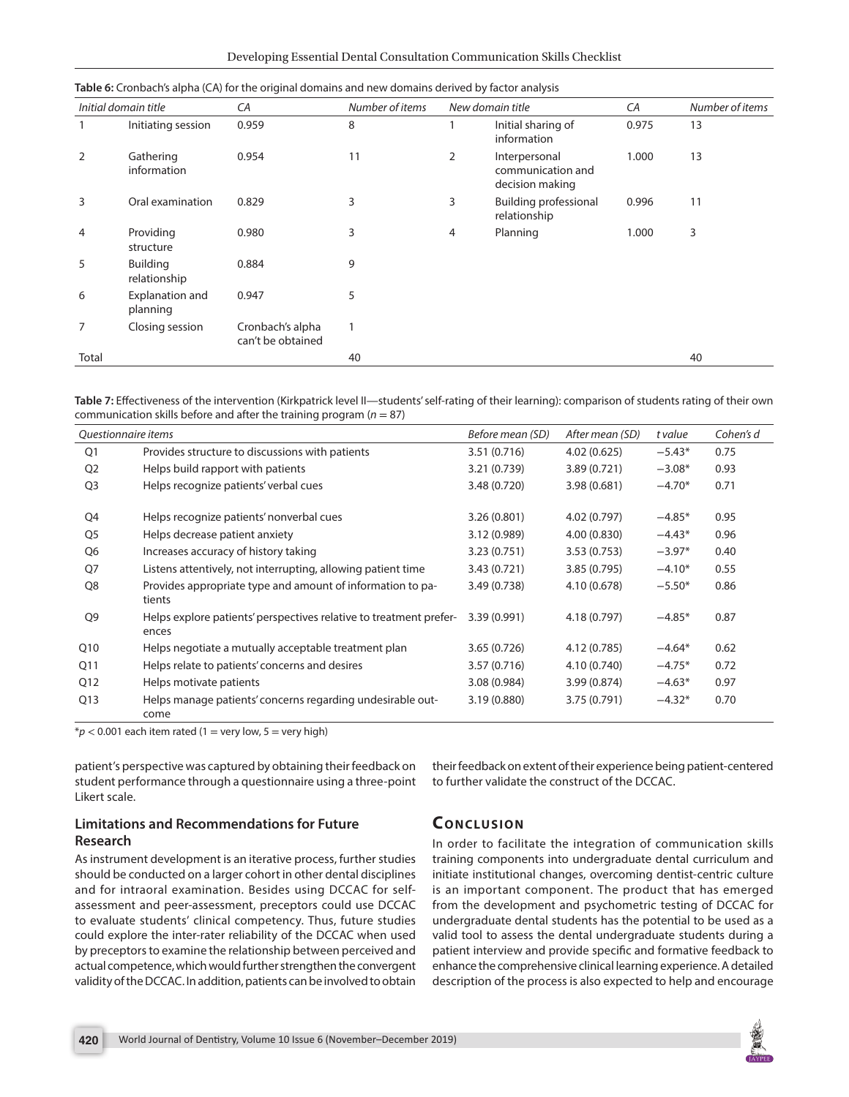|                | Initial domain title        | CA                                    | Number of items | New domain title |                                                       | CA    | Number of items |
|----------------|-----------------------------|---------------------------------------|-----------------|------------------|-------------------------------------------------------|-------|-----------------|
|                | Initiating session          | 0.959                                 | 8               |                  | Initial sharing of<br>information                     | 0.975 | 13              |
| 2              | Gathering<br>information    | 0.954                                 | 11              | 2                | Interpersonal<br>communication and<br>decision making | 1.000 | 13              |
| 3              | Oral examination            | 0.829                                 | 3               | 3                | <b>Building professional</b><br>relationship          | 0.996 | 11              |
| $\overline{4}$ | Providing<br>structure      | 0.980                                 | 3               | 4                | Planning                                              | 1.000 | 3               |
| 5              | Building<br>relationship    | 0.884                                 | 9               |                  |                                                       |       |                 |
| 6              | Explanation and<br>planning | 0.947                                 | 5               |                  |                                                       |       |                 |
| 7              | Closing session             | Cronbach's alpha<br>can't be obtained |                 |                  |                                                       |       |                 |
| Total          |                             |                                       | 40              |                  |                                                       |       | 40              |

| Table 6: Cronbach's alpha (CA) for the original domains and new domains derived by factor analysis |  |  |
|----------------------------------------------------------------------------------------------------|--|--|
|----------------------------------------------------------------------------------------------------|--|--|

Table 7: Effectiveness of the intervention (Kirkpatrick level II—students' self-rating of their learning): comparison of students rating of their own communication skills before and after the training program (*n* = 87)

| Questionnaire items |                                                                             | Before mean (SD) | After mean (SD) | t value  | Cohen's d |
|---------------------|-----------------------------------------------------------------------------|------------------|-----------------|----------|-----------|
| O <sub>1</sub>      | Provides structure to discussions with patients                             | 3.51(0.716)      | 4.02(0.625)     | $-5.43*$ | 0.75      |
| Q <sub>2</sub>      | Helps build rapport with patients                                           | 3.21 (0.739)     | 3.89 (0.721)    | $-3.08*$ | 0.93      |
| Q <sub>3</sub>      | Helps recognize patients' verbal cues                                       | 3.48 (0.720)     | 3.98 (0.681)    | $-4.70*$ | 0.71      |
| Q4                  | Helps recognize patients' nonverbal cues                                    | 3.26(0.801)      | 4.02 (0.797)    | $-4.85*$ | 0.95      |
| Q5                  | Helps decrease patient anxiety                                              | 3.12 (0.989)     | 4.00(0.830)     | $-4.43*$ | 0.96      |
| Q <sub>6</sub>      | Increases accuracy of history taking                                        | 3.23(0.751)      | 3.53(0.753)     | $-3.97*$ | 0.40      |
| Q7                  | Listens attentively, not interrupting, allowing patient time                | 3.43 (0.721)     | 3.85 (0.795)    | $-4.10*$ | 0.55      |
| Q8                  | Provides appropriate type and amount of information to pa-<br>tients        | 3.49 (0.738)     | 4.10 (0.678)    | $-5.50*$ | 0.86      |
| Q9                  | Helps explore patients' perspectives relative to treatment prefer-<br>ences | 3.39 (0.991)     | 4.18 (0.797)    | $-4.85*$ | 0.87      |
| Q10                 | Helps negotiate a mutually acceptable treatment plan                        | 3.65 (0.726)     | 4.12 (0.785)    | $-4.64*$ | 0.62      |
| Q11                 | Helps relate to patients' concerns and desires                              | 3.57(0.716)      | 4.10 (0.740)    | $-4.75*$ | 0.72      |
| Q12                 | Helps motivate patients                                                     | 3.08 (0.984)     | 3.99 (0.874)    | $-4.63*$ | 0.97      |
| Q13                 | Helps manage patients' concerns regarding undesirable out-<br>come          | 3.19(0.880)      | 3.75 (0.791)    | $-4.32*$ | 0.70      |

 $*p$  < 0.001 each item rated (1 = very low, 5 = very high)

patient's perspective was captured by obtaining their feedback on student performance through a questionnaire using a three-point Likert scale.

#### **Limitations and Recommendations for Future Research**

As instrument development is an iterative process, further studies should be conducted on a larger cohort in other dental disciplines and for intraoral examination. Besides using DCCAC for selfassessment and peer-assessment, preceptors could use DCCAC to evaluate students' clinical competency. Thus, future studies could explore the inter-rater reliability of the DCCAC when used by preceptors to examine the relationship between perceived and actual competence, which would further strengthen the convergent validity of the DCCAC. In addition, patients can be involved to obtain

their feedback on extent of their experience being patient-centered to further validate the construct of the DCCAC.

# **CONCLUSION**

In order to facilitate the integration of communication skills training components into undergraduate dental curriculum and initiate institutional changes, overcoming dentist-centric culture is an important component. The product that has emerged from the development and psychometric testing of DCCAC for undergraduate dental students has the potential to be used as a valid tool to assess the dental undergraduate students during a patient interview and provide specific and formative feedback to enhance the comprehensive clinical learning experience. A detailed description of the process is also expected to help and encourage